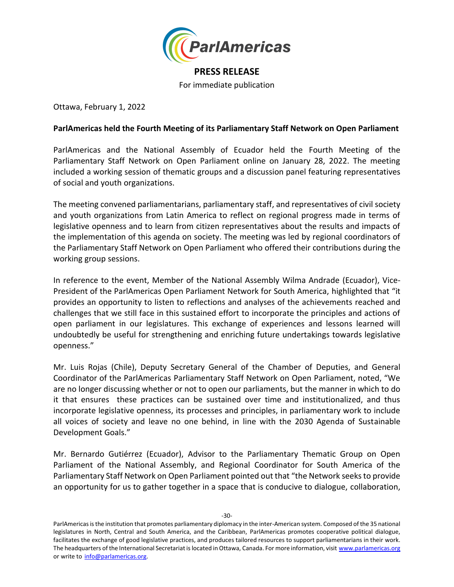

## **PRESS RELEASE**

For immediate publication

Ottawa, February 1, 2022

## **ParlAmericas held the Fourth Meeting of its Parliamentary Staff Network on Open Parliament**

ParlAmericas and the National Assembly of Ecuador held the Fourth Meeting of the Parliamentary Staff Network on Open Parliament online on January 28, 2022. The meeting included a working session of thematic groups and a discussion panel featuring representatives of social and youth organizations.

The meeting convened parliamentarians, parliamentary staff, and representatives of civil society and youth organizations from Latin America to reflect on regional progress made in terms of legislative openness and to learn from citizen representatives about the results and impacts of the implementation of this agenda on society. The meeting was led by regional coordinators of the Parliamentary Staff Network on Open Parliament who offered their contributions during the working group sessions.

In reference to the event, Member of the National Assembly Wilma Andrade (Ecuador), Vice-President of the ParlAmericas Open Parliament Network for South America, highlighted that "it provides an opportunity to listen to reflections and analyses of the achievements reached and challenges that we still face in this sustained effort to incorporate the principles and actions of open parliament in our legislatures. This exchange of experiences and lessons learned will undoubtedly be useful for strengthening and enriching future undertakings towards legislative openness."

Mr. Luis Rojas (Chile), Deputy Secretary General of the Chamber of Deputies, and General Coordinator of the ParlAmericas Parliamentary Staff Network on Open Parliament, noted, "We are no longer discussing whether or not to open our parliaments, but the manner in which to do it that ensures these practices can be sustained over time and institutionalized, and thus incorporate legislative openness, its processes and principles, in parliamentary work to include all voices of society and leave no one behind, in line with the 2030 Agenda of Sustainable Development Goals."

Mr. Bernardo Gutiérrez (Ecuador), Advisor to the Parliamentary Thematic Group on Open Parliament of the National Assembly, and Regional Coordinator for South America of the Parliamentary Staff Network on Open Parliament pointed out that "the Network seeks to provide an opportunity for us to gather together in a space that is conducive to dialogue, collaboration,

-30-

ParlAmericas is the institution that promotes parliamentary diplomacy in the inter-American system. Composed of the 35 national legislatures in North, Central and South America, and the Caribbean, ParlAmericas promotes cooperative political dialogue, facilitates the exchange of good legislative practices, and produces tailored resources to support parliamentarians in their work. The headquarters of the International Secretariat is located in Ottawa, Canada. For more information, visit [www.parlamericas.org](file:///C:/Users/16133/AppData/Local/Temp/www.parlamericas.org) or write to [info@parlamericas.org.](file:///C:/Users/16133/AppData/Local/Temp/info@parlamericas.org)